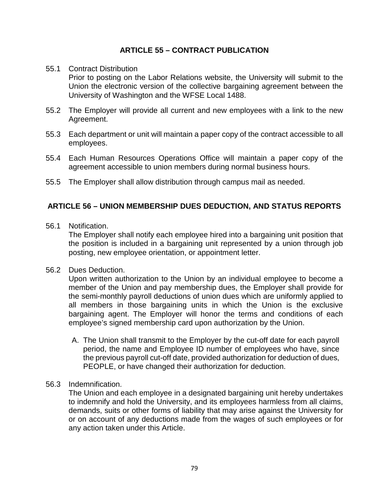### **ARTICLE 55 – CONTRACT PUBLICATION**

#### 55.1 Contract Distribution

Prior to posting on the Labor Relations website, the University will submit to the Union the electronic version of the collective bargaining agreement between the University of Washington and the WFSE Local 1488.

- 55.2 The Employer will provide all current and new employees with a link to the new Agreement.
- 55.3 Each department or unit will maintain a paper copy of the contract accessible to all employees.
- 55.4 Each Human Resources Operations Office will maintain a paper copy of the agreement accessible to union members during normal business hours.
- 55.5 The Employer shall allow distribution through campus mail as needed.

## **ARTICLE 56 – UNION MEMBERSHIP DUES DEDUCTION, AND STATUS REPORTS**

56.1 Notification.

The Employer shall notify each employee hired into a bargaining unit position that the position is included in a bargaining unit represented by a union through job posting, new employee orientation, or appointment letter.

56.2 Dues Deduction.

Upon written authorization to the Union by an individual employee to become a member of the Union and pay membership dues, the Employer shall provide for the semi-monthly payroll deductions of union dues which are uniformly applied to all members in those bargaining units in which the Union is the exclusive bargaining agent. The Employer will honor the terms and conditions of each employee's signed membership card upon authorization by the Union.

- A. The Union shall transmit to the Employer by the cut-off date for each payroll period, the name and Employee ID number of employees who have, since the previous payroll cut-off date, provided authorization for deduction of dues, PEOPLE, or have changed their authorization for deduction.
- 56.3 Indemnification.

The Union and each employee in a designated bargaining unit hereby undertakes to indemnify and hold the University, and its employees harmless from all claims, demands, suits or other forms of liability that may arise against the University for or on account of any deductions made from the wages of such employees or for any action taken under this Article.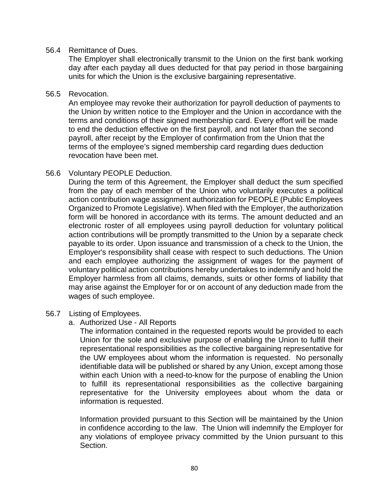#### 56.4 Remittance of Dues.

The Employer shall electronically transmit to the Union on the first bank working day after each payday all dues deducted for that pay period in those bargaining units for which the Union is the exclusive bargaining representative.

#### 56.5 Revocation.

An employee may revoke their authorization for payroll deduction of payments to the Union by written notice to the Employer and the Union in accordance with the terms and conditions of their signed membership card. Every effort will be made to end the deduction effective on the first payroll, and not later than the second payroll, after receipt by the Employer of confirmation from the Union that the terms of the employee's signed membership card regarding dues deduction revocation have been met.

#### 56.6 Voluntary PEOPLE Deduction.

During the term of this Agreement, the Employer shall deduct the sum specified from the pay of each member of the Union who voluntarily executes a political action contribution wage assignment authorization for PEOPLE (Public Employees Organized to Promote Legislative). When filed with the Employer, the authorization form will be honored in accordance with its terms. The amount deducted and an electronic roster of all employees using payroll deduction for voluntary political action contributions will be promptly transmitted to the Union by a separate check payable to its order. Upon issuance and transmission of a check to the Union, the Employer's responsibility shall cease with respect to such deductions. The Union and each employee authorizing the assignment of wages for the payment of voluntary political action contributions hereby undertakes to indemnify and hold the Employer harmless from all claims, demands, suits or other forms of liability that may arise against the Employer for or on account of any deduction made from the wages of such employee.

#### 56.7 Listing of Employees.

a. Authorized Use - All Reports

The information contained in the requested reports would be provided to each Union for the sole and exclusive purpose of enabling the Union to fulfill their representational responsibilities as the collective bargaining representative for the UW employees about whom the information is requested. No personally identifiable data will be published or shared by any Union, except among those within each Union with a need-to-know for the purpose of enabling the Union to fulfill its representational responsibilities as the collective bargaining representative for the University employees about whom the data or information is requested.

Information provided pursuant to this Section will be maintained by the Union in confidence according to the law. The Union will indemnify the Employer for any violations of employee privacy committed by the Union pursuant to this Section.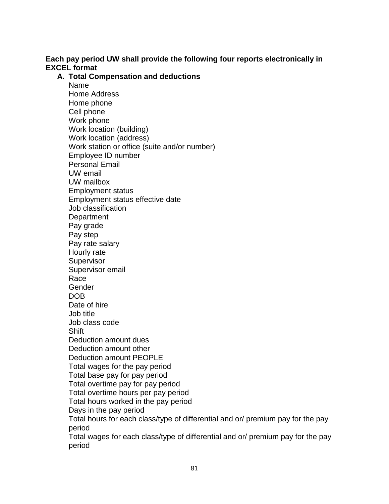## **Each pay period UW shall provide the following four reports electronically in EXCEL format**

## **A. Total Compensation and deductions**

Name Home Address Home phone Cell phone Work phone Work location (building) Work location (address) Work station or office (suite and/or number) Employee ID number Personal Email UW email UW mailbox Employment status Employment status effective date Job classification **Department** Pay grade Pay step Pay rate salary Hourly rate **Supervisor** Supervisor email Race Gender DOB Date of hire Job title Job class code Shift Deduction amount dues Deduction amount other Deduction amount PEOPLE Total wages for the pay period Total base pay for pay period Total overtime pay for pay period Total overtime hours per pay period Total hours worked in the pay period Days in the pay period Total hours for each class/type of differential and or/ premium pay for the pay period Total wages for each class/type of differential and or/ premium pay for the pay period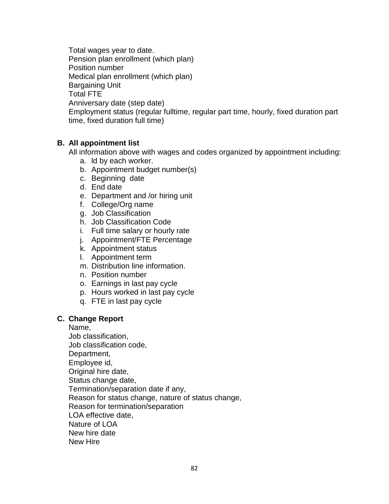Total wages year to date. Pension plan enrollment (which plan) Position number Medical plan enrollment (which plan) Bargaining Unit Total FTE Anniversary date (step date) Employment status (regular fulltime, regular part time, hourly, fixed duration part time, fixed duration full time)

### **B. All appointment list**

All information above with wages and codes organized by appointment including:

- a. ld by each worker.
- b. Appointment budget number(s)
- c. Beginning date
- d. End date
- e. Department and /or hiring unit
- f. College/Org name
- g. Job Classification
- h. Job Classification Code
- i. Full time salary or hourly rate
- j. Appointment/FTE Percentage
- k. Appointment status
- l. Appointment term
- m. Distribution line information.
- n. Position number
- o. Earnings in last pay cycle
- p. Hours worked in last pay cycle
- q. FTE in last pay cycle

#### **C. Change Report**

Name, Job classification, Job classification code, Department, Employee id, Original hire date, Status change date, Termination/separation date if any, Reason for status change, nature of status change, Reason for termination/separation LOA effective date, Nature of LOA New hire date New Hire